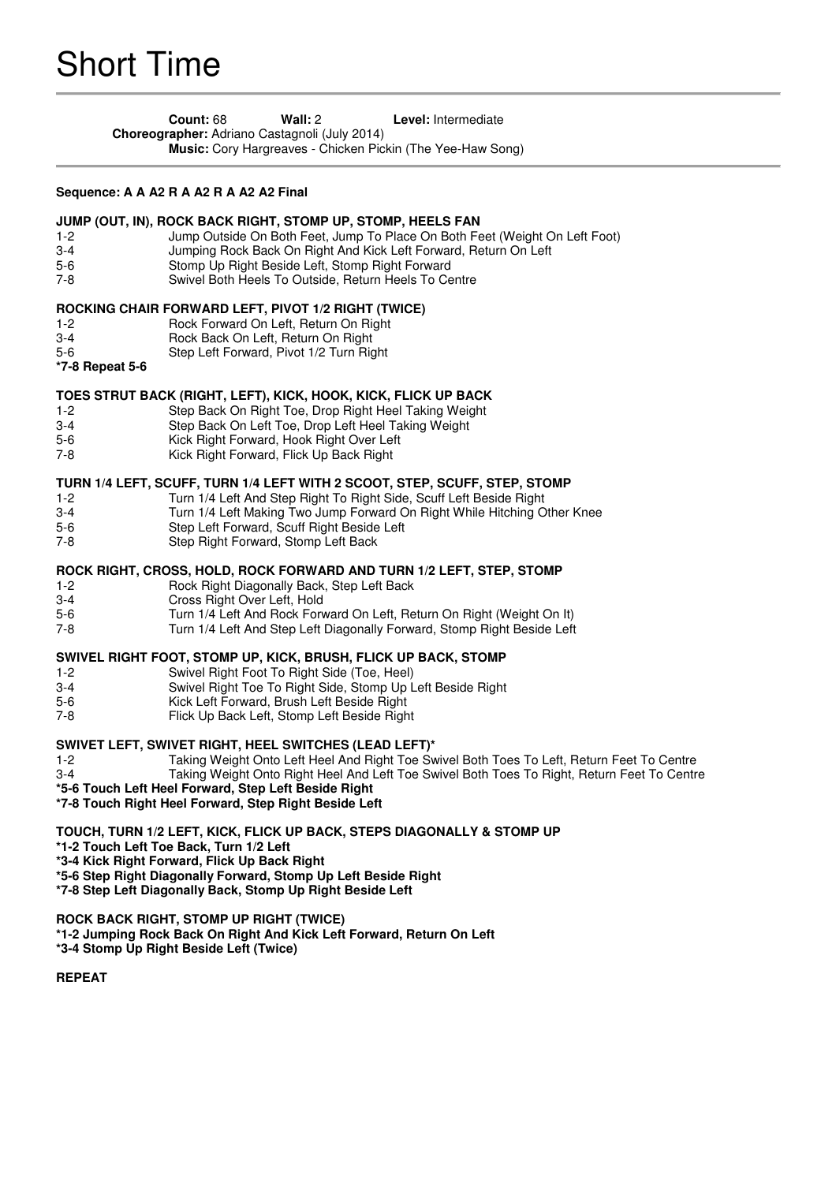**Count:** 68 **Wall:** 2 **Level:** Intermediate **Choreographer:** Adriano Castagnoli (July 2014) **Music:** Cory Hargreaves - Chicken Pickin (The Yee-Haw Song)

### **Sequence: A A A2 R A A2 R A A2 A2 Final**

#### **JUMP (OUT, IN), ROCK BACK RIGHT, STOMP UP, STOMP, HEELS FAN**

- 1-2 Jump Outside On Both Feet, Jump To Place On Both Feet (Weight On Left Foot)
- 3-4 Jumping Rock Back On Right And Kick Left Forward, Return On Left<br>5-6 Stomp Up Right Beside Left. Stomp Right Forward
- Stomp Up Right Beside Left, Stomp Right Forward
- 7-8 Swivel Both Heels To Outside, Return Heels To Centre

## **ROCKING CHAIR FORWARD LEFT, PIVOT 1/2 RIGHT (TWICE)**

- 1-2 Rock Forward On Left, Return On Right
- 3-4 Rock Back On Left, Return On Right
- 5-6 Step Left Forward, Pivot 1/2 Turn Right
- **\*7-8 Repeat 5-6**

# **TOES STRUT BACK (RIGHT, LEFT), KICK, HOOK, KICK, FLICK UP BACK**

- 1-2 Step Back On Right Toe, Drop Right Heel Taking Weight
- Step Back On Left Toe, Drop Left Heel Taking Weight
- 5-6 Kick Right Forward, Hook Right Over Left<br>7-8 Kick Right Forward. Flick Up Back Right
- Kick Right Forward, Flick Up Back Right

## **TURN 1/4 LEFT, SCUFF, TURN 1/4 LEFT WITH 2 SCOOT, STEP, SCUFF, STEP, STOMP**

- 1-2 Turn 1/4 Left And Step Right To Right Side, Scuff Left Beside Right
- 3-4 Turn 1/4 Left Making Two Jump Forward On Right While Hitching Other Knee
- 5-6 Step Left Forward, Scuff Right Beside Left
- 7-8 Step Right Forward, Stomp Left Back

## **ROCK RIGHT, CROSS, HOLD, ROCK FORWARD AND TURN 1/2 LEFT, STEP, STOMP**

- 1-2 Rock Right Diagonally Back, Step Left Back
- 3-4 Cross Right Over Left, Hold
- 5-6 Turn 1/4 Left And Rock Forward On Left, Return On Right (Weight On It)<br>7-8 Turn 1/4 Left And Step Left Diagonally Forward. Stomp Right Beside Left
	- Turn 1/4 Left And Step Left Diagonally Forward, Stomp Right Beside Left

## **SWIVEL RIGHT FOOT, STOMP UP, KICK, BRUSH, FLICK UP BACK, STOMP**

- 1-2 Swivel Right Foot To Right Side (Toe, Heel)
- 3-4 Swivel Right Toe To Right Side, Stomp Up Left Beside Right
- 5-6 Kick Left Forward, Brush Left Beside Right<br>7-8 Flick Up Back Left, Stomp Left Beside Righ
- Flick Up Back Left, Stomp Left Beside Right

## **SWIVET LEFT, SWIVET RIGHT, HEEL SWITCHES (LEAD LEFT)\***

- 1-2 Taking Weight Onto Left Heel And Right Toe Swivel Both Toes To Left, Return Feet To Centre Taking Weight Onto Right Heel And Left Toe Swivel Both Toes To Right, Return Feet To Centre
- **\*5-6 Touch Left Heel Forward, Step Left Beside Right**
- **\*7-8 Touch Right Heel Forward, Step Right Beside Left**

## **TOUCH, TURN 1/2 LEFT, KICK, FLICK UP BACK, STEPS DIAGONALLY & STOMP UP**

- **\*1-2 Touch Left Toe Back, Turn 1/2 Left**
- **\*3-4 Kick Right Forward, Flick Up Back Right**
- **\*5-6 Step Right Diagonally Forward, Stomp Up Left Beside Right**
- **\*7-8 Step Left Diagonally Back, Stomp Up Right Beside Left**

# **ROCK BACK RIGHT, STOMP UP RIGHT (TWICE)**

- **\*1-2 Jumping Rock Back On Right And Kick Left Forward, Return On Left**
- **\*3-4 Stomp Up Right Beside Left (Twice)**

**REPEAT**